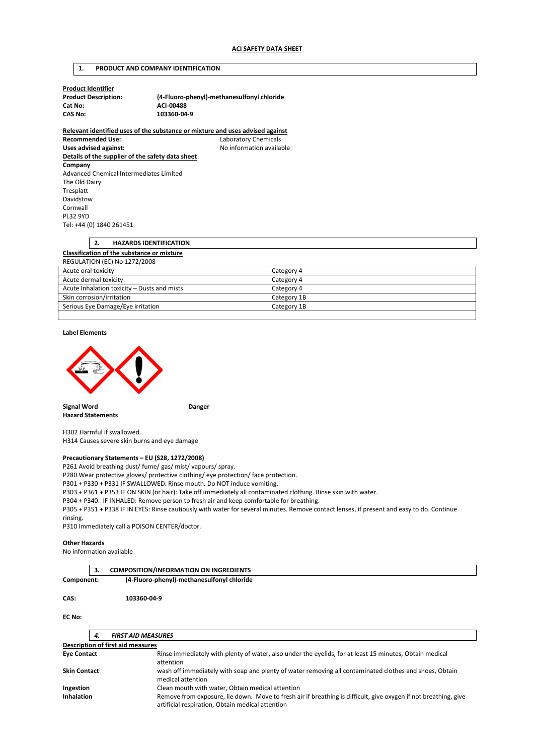# **1. PRODUCT AND COMPANY IDENTIFICATION**

**Product Identifier**  Cat No: **ACI-00488**<br>CAS No: **ACI-00488** 

**Product Description: (4-Fluoro-phenyl)-methanesulfonyl chloride CAS No: 103360-04-9** 

**Relevant identified uses of the substance or mixture and uses advised against Recommended Use:** Laboratory Chemicals Uses advised against: **No information available Details of the supplier of the safety data sheet Company**  Advanced Chemical Intermediates Limited The Old Dairy Tresplatt Davidstow Cornwall PL32 9YD

Tel: +44 (0) 1840 261451

# **2. HAZARDS IDENTIFICATION Classification of the substance or mixture**  REGULATION (EC) No 1272/2008

| Acute oral toxicity                         | Category 4  |
|---------------------------------------------|-------------|
| Acute dermal toxicity                       | Category 4  |
| Acute Inhalation toxicity - Dusts and mists | Category 4  |
| Skin corrosion/irritation                   | Category 1B |
| Serious Eye Damage/Eye irritation           | Category 1B |
|                                             |             |

#### **Label Elements**



**Signal Word Communist Communist Communist Communist Communist Communist Communist Communist Communist Communist Communist Communist Communist Communist Communist Communist Communist Communist Communist Communist Communist Hazard Statements** 

H302 Harmful if swallowed. H314 Causes severe skin burns and eye damage

#### **Precautionary Statements – EU (S28, 1272/2008)**

P261 Avoid breathing dust/ fume/ gas/ mist/ vapours/ spray.

P280 Wear protective gloves/ protective clothing/ eye protection/ face protection.

P301 + P330 + P331 IF SWALLOWED: Rinse mouth. Do NOT induce vomiting.

P303 + P361 + P353 IF ON SKIN (or hair): Take off immediately all contaminated clothing. Rinse skin with water.

P304 + P340. IF INHALED: Remove person to fresh air and keep comfortable for breathing.

P305 + P351 + P338 IF IN EYES: Rinse cautiously with water for several minutes. Remove contact lenses, if present and easy to do. Continue rinsing.

P310 Immediately call a POISON CENTER/doctor.

#### **Other Hazards**

No information available

|            | <b>COMPOSITION/INFORMATION ON INGREDIENTS</b> |  |
|------------|-----------------------------------------------|--|
| Component: | (4-Fluoro-phenyl)-methanesulfonyl chloride    |  |
| CAS:       | 103360-04-9                                   |  |

**EC No:** 

|                                          | 4. | <b>FIRST AID MEASURES</b>                                                                                                                                           |  |  |
|------------------------------------------|----|---------------------------------------------------------------------------------------------------------------------------------------------------------------------|--|--|
| <b>Description of first aid measures</b> |    |                                                                                                                                                                     |  |  |
| <b>Eye Contact</b>                       |    | Rinse immediately with plenty of water, also under the eyelids, for at least 15 minutes, Obtain medical<br>attention                                                |  |  |
| <b>Skin Contact</b>                      |    | wash off immediately with soap and plenty of water removing all contaminated clothes and shoes, Obtain<br>medical attention                                         |  |  |
| Ingestion                                |    | Clean mouth with water, Obtain medical attention                                                                                                                    |  |  |
| <b>Inhalation</b>                        |    | Remove from exposure, lie down. Move to fresh air if breathing is difficult, give oxygen if not breathing, give<br>artificial respiration, Obtain medical attention |  |  |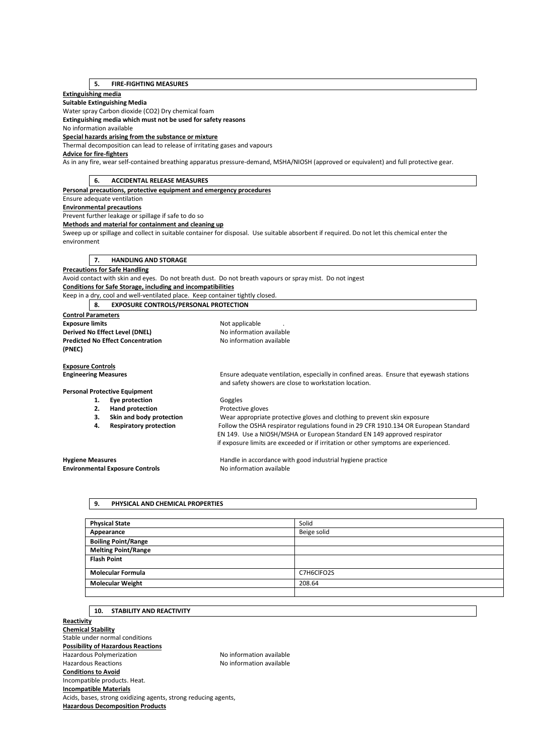# **5. FIRE-FIGHTING MEASURES**

# **Extinguishing media**

**Suitable Extinguishing Media** 

Water spray Carbon dioxide (CO2) Dry chemical foam

**Extinguishing media which must not be used for safety reasons** 

No information available

#### **Special hazards arising from the substance or mixture**

Thermal decomposition can lead to release of irritating gases and vapours **Advice for fire-fighters** 

As in any fire, wear self-contained breathing apparatus pressure-demand, MSHA/NIOSH (approved or equivalent) and full protective gear.

# **6. ACCIDENTAL RELEASE MEASURES Personal precautions, protective equipment and emergency procedures**  Ensure adequate ventilation **Environmental precautions**  Prevent further leakage or spillage if safe to do so **Methods and material for containment and cleaning up**  Sweep up or spillage and collect in suitable container for disposal. Use suitable absorbent if required. Do not let this chemical enter the environment **7. HANDLING AND STORAGE Precautions for Safe Handling**  Avoid contact with skin and eyes. Do not breath dust. Do not breath vapours or spray mist. Do not ingest **Conditions for Safe Storage, including and incompatibilities**  Keep in a dry, cool and well-ventilated place. Keep container tightly closed. **8. EXPOSURE CONTROLS/PERSONAL PROTECTION Control Parameters Exposure limits Exposure limits Not applicable** ... **Derived No Effect Level (DNEL)** No information available<br> **Predicted No Effect Concentration** No information available **Predicted No Effect Concentration (PNEC) Exposure Controls Engineering Measures** Ensure adequate ventilation, especially in confined areas. Ensure that eyewash stations and safety showers are close to workstation location. **Personal Protective Equipment 1. Eye protection Goggles 2. Hand protection Protective gloves 3. Skin and body protection** Wear appropriate protective gloves and clothing to prevent skin exposure **4. Respiratory protection** Follow the OSHA respirator regulations found in 29 CFR 1910.134 OR European Standard EN 149. Use a NIOSH/MSHA or European Standard EN 149 approved respirator if exposure limits are exceeded or if irritation or other symptoms are experienced. **Hygiene Measures** Handle in accordance with good industrial hygiene practice **Environmental Exposure Controls No information available**

# **9. PHYSICAL AND CHEMICAL PROPERTIES**

| <b>Physical State</b>      | Solid       |
|----------------------------|-------------|
| Appearance                 | Beige solid |
| <b>Boiling Point/Range</b> |             |
| <b>Melting Point/Range</b> |             |
| <b>Flash Point</b>         |             |
| <b>Molecular Formula</b>   | C7H6ClFO2S  |
| <b>Molecular Weight</b>    | 208.64      |
|                            |             |

#### **10. STABILITY AND REACTIVITY**

**Reactivity Chemical Stability**  Stable under normal conditions **Possibility of Hazardous Reactions**  Hazardous Polymerization No information available Hazardous Reactions No information available **Conditions to Avoid**  Incompatible products. Heat. **Incompatible Materials**  Acids, bases, strong oxidizing agents, strong reducing agents, **Hazardous Decomposition Products**